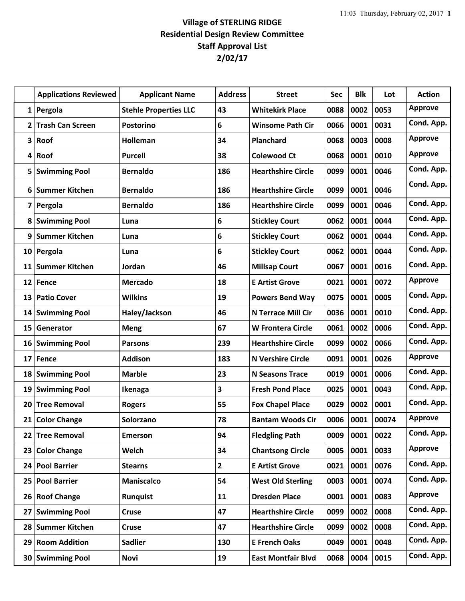## **Village of STERLING RIDGE Residential Design Review Committee Staff Approval List 2/02/17**

|    | <b>Applications Reviewed</b> | <b>Applicant Name</b>        | <b>Address</b> | <b>Street</b>             | Sec  | <b>Blk</b> | Lot   | <b>Action</b>  |
|----|------------------------------|------------------------------|----------------|---------------------------|------|------------|-------|----------------|
| 1  | Pergola                      | <b>Stehle Properties LLC</b> | 43             | <b>Whitekirk Place</b>    | 0088 | 0002       | 0053  | <b>Approve</b> |
| 2  | <b>Trash Can Screen</b>      | <b>Postorino</b>             | 6              | <b>Winsome Path Cir</b>   | 0066 | 0001       | 0031  | Cond. App.     |
| 3  | Roof                         | Holleman                     | 34             | Planchard                 | 0068 | 0003       | 0008  | <b>Approve</b> |
| 4  | Roof                         | <b>Purcell</b>               | 38             | <b>Colewood Ct</b>        | 0068 | 0001       | 0010  | <b>Approve</b> |
| 5  | <b>Swimming Pool</b>         | <b>Bernaldo</b>              | 186            | <b>Hearthshire Circle</b> | 0099 | 0001       | 0046  | Cond. App.     |
| 6  | <b>Summer Kitchen</b>        | <b>Bernaldo</b>              | 186            | <b>Hearthshire Circle</b> | 0099 | 0001       | 0046  | Cond. App.     |
| 7  | Pergola                      | <b>Bernaldo</b>              | 186            | <b>Hearthshire Circle</b> | 0099 | 0001       | 0046  | Cond. App.     |
| 8  | <b>Swimming Pool</b>         | Luna                         | 6              | <b>Stickley Court</b>     | 0062 | 0001       | 0044  | Cond. App.     |
| 9  | <b>Summer Kitchen</b>        | Luna                         | 6              | <b>Stickley Court</b>     | 0062 | 0001       | 0044  | Cond. App.     |
| 10 | Pergola                      | Luna                         | 6              | <b>Stickley Court</b>     | 0062 | 0001       | 0044  | Cond. App.     |
| 11 | <b>Summer Kitchen</b>        | Jordan                       | 46             | <b>Millsap Court</b>      | 0067 | 0001       | 0016  | Cond. App.     |
| 12 | Fence                        | <b>Mercado</b>               | 18             | <b>E Artist Grove</b>     | 0021 | 0001       | 0072  | <b>Approve</b> |
| 13 | <b>Patio Cover</b>           | <b>Wilkins</b>               | 19             | <b>Powers Bend Way</b>    | 0075 | 0001       | 0005  | Cond. App.     |
| 14 | <b>Swimming Pool</b>         | Haley/Jackson                | 46             | <b>N Terrace Mill Cir</b> | 0036 | 0001       | 0010  | Cond. App.     |
| 15 | Generator                    | <b>Meng</b>                  | 67             | W Frontera Circle         | 0061 | 0002       | 0006  | Cond. App.     |
| 16 | <b>Swimming Pool</b>         | <b>Parsons</b>               | 239            | <b>Hearthshire Circle</b> | 0099 | 0002       | 0066  | Cond. App.     |
| 17 | <b>Fence</b>                 | <b>Addison</b>               | 183            | <b>N Vershire Circle</b>  | 0091 | 0001       | 0026  | <b>Approve</b> |
| 18 | <b>Swimming Pool</b>         | <b>Marble</b>                | 23             | <b>N Seasons Trace</b>    | 0019 | 0001       | 0006  | Cond. App.     |
| 19 | <b>Swimming Pool</b>         | Ikenaga                      | 3              | <b>Fresh Pond Place</b>   | 0025 | 0001       | 0043  | Cond. App.     |
| 20 | <b>Tree Removal</b>          | <b>Rogers</b>                | 55             | <b>Fox Chapel Place</b>   | 0029 | 0002       | 0001  | Cond. App.     |
|    | 21 Color Change              | Solorzano                    | 78             | <b>Bantam Woods Cir</b>   | 0006 | 0001       | 00074 | <b>Approve</b> |
| 22 | <b>Tree Removal</b>          | <b>Emerson</b>               | 94             | <b>Fledgling Path</b>     | 0009 | 0001       | 0022  | Cond. App.     |
| 23 | <b>Color Change</b>          | Welch                        | 34             | <b>Chantsong Circle</b>   | 0005 | 0001       | 0033  | <b>Approve</b> |
| 24 | <b>Pool Barrier</b>          | <b>Stearns</b>               | $\overline{2}$ | <b>E Artist Grove</b>     | 0021 | 0001       | 0076  | Cond. App.     |
| 25 | <b>Pool Barrier</b>          | <b>Maniscalco</b>            | 54             | <b>West Old Sterling</b>  | 0003 | 0001       | 0074  | Cond. App.     |
| 26 | <b>Roof Change</b>           | <b>Runquist</b>              | 11             | <b>Dresden Place</b>      | 0001 | 0001       | 0083  | <b>Approve</b> |
| 27 | <b>Swimming Pool</b>         | <b>Cruse</b>                 | 47             | <b>Hearthshire Circle</b> | 0099 | 0002       | 0008  | Cond. App.     |
|    | 28 Summer Kitchen            | <b>Cruse</b>                 | 47             | <b>Hearthshire Circle</b> | 0099 | 0002       | 0008  | Cond. App.     |
| 29 | <b>Room Addition</b>         | <b>Sadlier</b>               | 130            | <b>E French Oaks</b>      | 0049 | 0001       | 0048  | Cond. App.     |
|    | 30 Swimming Pool             | Novi                         | 19             | <b>East Montfair Blvd</b> | 0068 | 0004       | 0015  | Cond. App.     |